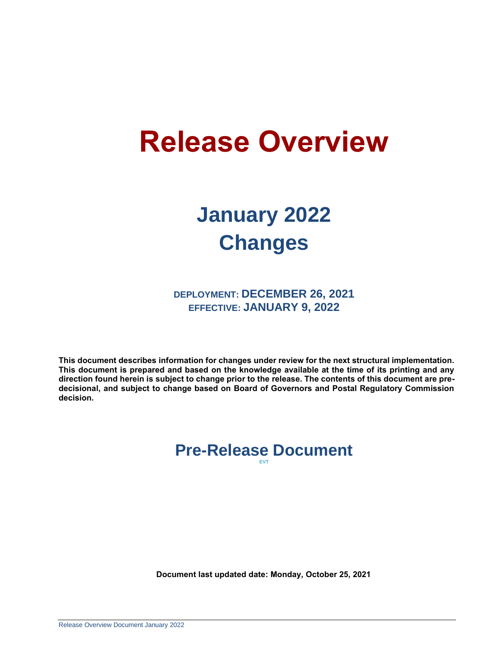# **Release Overview**

## **January 2022 Changes**

**DEPLOYMENT: DECEMBER 26, 2021 EFFECTIVE: JANUARY 9, 2022**

**This document describes information for changes under review for the next structural implementation. This document is prepared and based on the knowledge available at the time of its printing and any direction found herein is subject to change prior to the release. The contents of this document are predecisional, and subject to change based on Board of Governors and Postal Regulatory Commission decision.**

#### **Pre-Release Document EVT**

**Document last updated date: Monday, October 25, 2021**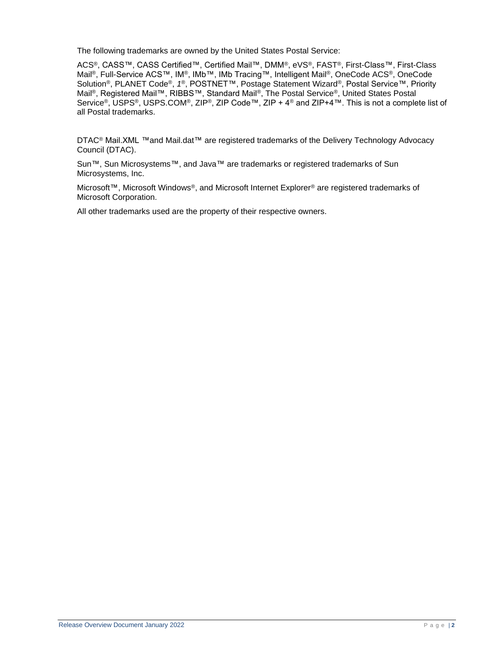The following trademarks are owned by the United States Postal Service:

ACS®, CASS™, CASS Certified™, Certified Mail™, DMM®, eVS®, FAST®, First-Class™, First-Class Mail®, Full-Service ACS™, IM®, IMb™, IMb Tracing™, Intelligent Mail®, OneCode ACS®, OneCode Solution®, PLANET Code®, *1 ®*, POSTNET™, Postage Statement Wizard®, Postal Service™, Priority Mail®, Registered Mail™, RIBBS™, Standard Mail®, The Postal Service®, United States Postal Service®, USPS®, USPS.COM®, ZIP®, ZIP Code™, ZIP + 4® and ZIP+4™. This is not a complete list of all Postal trademarks.

DTAC<sup>®</sup> Mail.XML ™and Mail.dat™ are registered trademarks of the Delivery Technology Advocacy Council (DTAC).

Sun™, Sun Microsystems™, and Java™ are trademarks or registered trademarks of Sun Microsystems, Inc.

Microsoft™, Microsoft Windows®, and Microsoft Internet Explorer® are registered trademarks of Microsoft Corporation.

All other trademarks used are the property of their respective owners.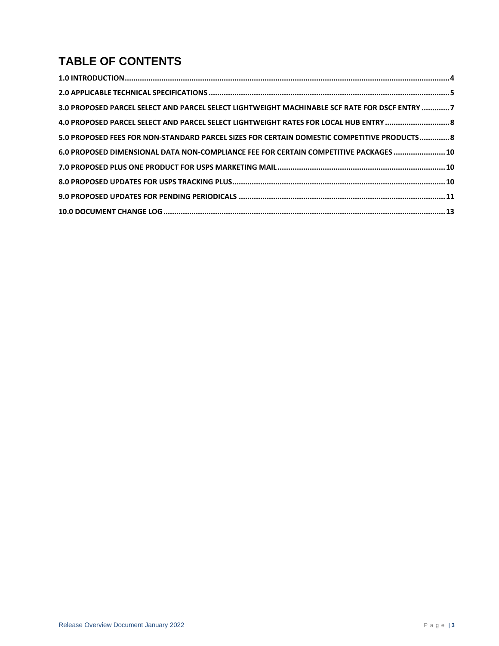## **TABLE OF CONTENTS**

| 3.0 PROPOSED PARCEL SELECT AND PARCEL SELECT LIGHTWEIGHT MACHINABLE SCF RATE FOR DSCF ENTRY 7 |
|-----------------------------------------------------------------------------------------------|
|                                                                                               |
| 5.0 PROPOSED FEES FOR NON-STANDARD PARCEL SIZES FOR CERTAIN DOMESTIC COMPETITIVE PRODUCTS 8   |
| 6.0 PROPOSED DIMENSIONAL DATA NON-COMPLIANCE FEE FOR CERTAIN COMPETITIVE PACKAGES  10         |
|                                                                                               |
|                                                                                               |
|                                                                                               |
|                                                                                               |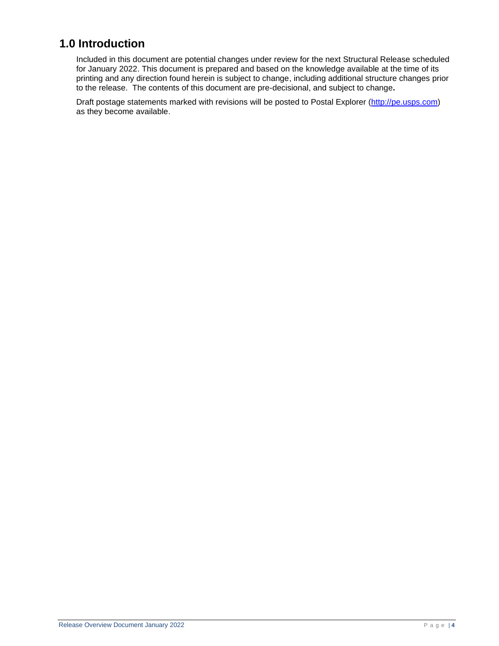## <span id="page-3-0"></span>**1.0 Introduction**

Included in this document are potential changes under review for the next Structural Release scheduled for January 2022. This document is prepared and based on the knowledge available at the time of its printing and any direction found herein is subject to change, including additional structure changes prior to the release. The contents of this document are pre-decisional, and subject to change**.**

Draft postage statements marked with revisions will be posted to Postal Explorer [\(http://pe.usps.com\)](http://pe.usps.com/) as they become available.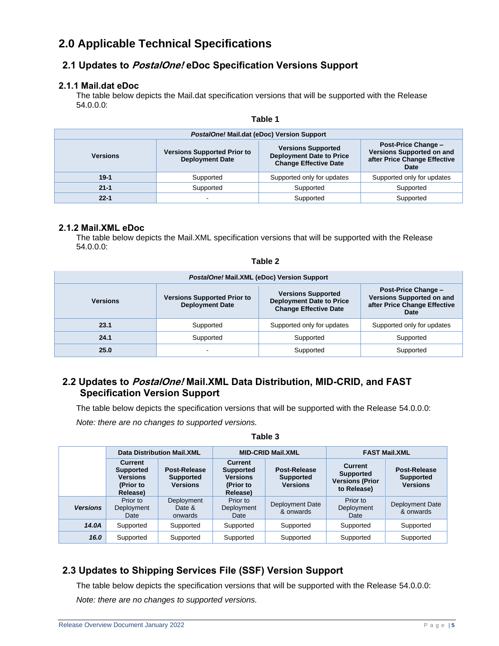## <span id="page-4-0"></span>**2.0 Applicable Technical Specifications**

#### **2.1 Updates to PostalOne! eDoc Specification Versions Support**

#### **2.1.1 Mail.dat eDoc**

The table below depicts the Mail.dat specification versions that will be supported with the Release 54.0.0.0:

| PostalOne! Mail.dat (eDoc) Version Support |                                                              |                                                                                              |                                                                                                        |  |  |  |  |  |
|--------------------------------------------|--------------------------------------------------------------|----------------------------------------------------------------------------------------------|--------------------------------------------------------------------------------------------------------|--|--|--|--|--|
| <b>Versions</b>                            | <b>Versions Supported Prior to</b><br><b>Deployment Date</b> | <b>Versions Supported</b><br><b>Deployment Date to Price</b><br><b>Change Effective Date</b> | <b>Post-Price Change -</b><br><b>Versions Supported on and</b><br>after Price Change Effective<br>Date |  |  |  |  |  |
| $19-1$                                     | Supported                                                    | Supported only for updates                                                                   | Supported only for updates                                                                             |  |  |  |  |  |
| $21 - 1$                                   | Supported                                                    | Supported                                                                                    | Supported                                                                                              |  |  |  |  |  |
| $22 - 1$                                   |                                                              | Supported                                                                                    | Supported                                                                                              |  |  |  |  |  |

#### **Table 1**

#### **2.1.2 Mail.XML eDoc**

The table below depicts the Mail.XML specification versions that will be supported with the Release 54.0.0.0:

**Table 2**

| PostalOne! Mail.XML (eDoc) Version Support |                                                              |                                                                                              |                                                                                                        |  |  |  |  |  |
|--------------------------------------------|--------------------------------------------------------------|----------------------------------------------------------------------------------------------|--------------------------------------------------------------------------------------------------------|--|--|--|--|--|
| <b>Versions</b>                            | <b>Versions Supported Prior to</b><br><b>Deployment Date</b> | <b>Versions Supported</b><br><b>Deployment Date to Price</b><br><b>Change Effective Date</b> | <b>Post-Price Change -</b><br><b>Versions Supported on and</b><br>after Price Change Effective<br>Date |  |  |  |  |  |
| 23.1                                       | Supported                                                    | Supported only for updates                                                                   | Supported only for updates                                                                             |  |  |  |  |  |
| 24.1                                       | Supported                                                    | Supported                                                                                    | Supported                                                                                              |  |  |  |  |  |
| 25.0                                       |                                                              | Supported                                                                                    | Supported                                                                                              |  |  |  |  |  |

#### **2.2 Updates to PostalOne! Mail.XML Data Distribution, MID-CRID, and FAST Specification Version Support**

The table below depicts the specification versions that will be supported with the Release 54.0.0.0:

*Note: there are no changes to supported versions.*

|                 | <b>Data Distribution Mail.XML</b>                                              |                                                     |                                                                         | <b>MID-CRID Mail.XML</b>                            | <b>FAST Mail.XML</b>                                                        |                                                     |
|-----------------|--------------------------------------------------------------------------------|-----------------------------------------------------|-------------------------------------------------------------------------|-----------------------------------------------------|-----------------------------------------------------------------------------|-----------------------------------------------------|
|                 | <b>Current</b><br><b>Supported</b><br><b>Versions</b><br>(Prior to<br>Release) | Post-Release<br><b>Supported</b><br><b>Versions</b> | Current<br><b>Supported</b><br><b>Versions</b><br>(Prior to<br>Release) | Post-Release<br><b>Supported</b><br><b>Versions</b> | <b>Current</b><br><b>Supported</b><br><b>Versions (Prior</b><br>to Release) | Post-Release<br><b>Supported</b><br><b>Versions</b> |
| <b>Versions</b> | Prior to<br>Deployment<br>Date                                                 | Deployment<br>Date &<br>onwards                     | Prior to<br>Deployment<br>Date                                          | Deployment Date<br>& onwards                        | Prior to<br>Deployment<br>Date                                              | Deployment Date<br>& onwards                        |
| 14.0A           | Supported                                                                      | Supported                                           | Supported                                                               | Supported                                           | Supported                                                                   | Supported                                           |
| 16.0            | Supported                                                                      | Supported                                           | Supported                                                               | Supported                                           | Supported                                                                   | Supported                                           |

**Table 3**

#### **2.3 Updates to Shipping Services File (SSF) Version Support**

The table below depicts the specification versions that will be supported with the Release 54.0.0.0: *Note: there are no changes to supported versions.*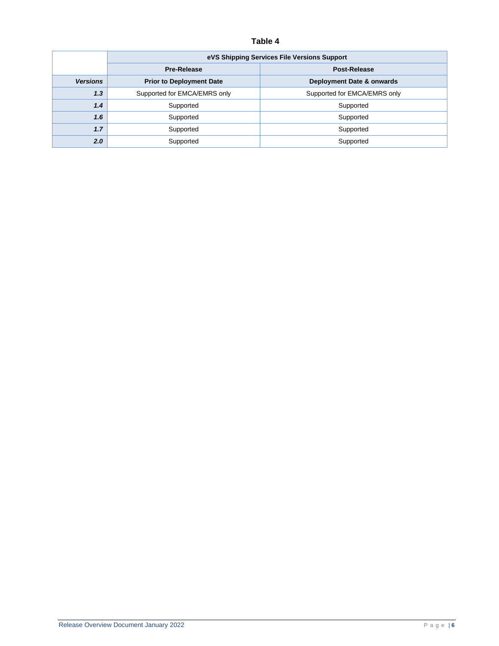#### **Table 4**

|                 | eVS Shipping Services File Versions Support |                              |  |  |  |  |
|-----------------|---------------------------------------------|------------------------------|--|--|--|--|
|                 | <b>Pre-Release</b>                          | Post-Release                 |  |  |  |  |
| <b>Versions</b> | <b>Prior to Deployment Date</b>             | Deployment Date & onwards    |  |  |  |  |
| 1,3             | Supported for EMCA/EMRS only                | Supported for EMCA/EMRS only |  |  |  |  |
| 1.4             | Supported                                   | Supported                    |  |  |  |  |
| 1.6             | Supported                                   | Supported                    |  |  |  |  |
| 1.7             | Supported                                   | Supported                    |  |  |  |  |
| 2.0             | Supported                                   | Supported                    |  |  |  |  |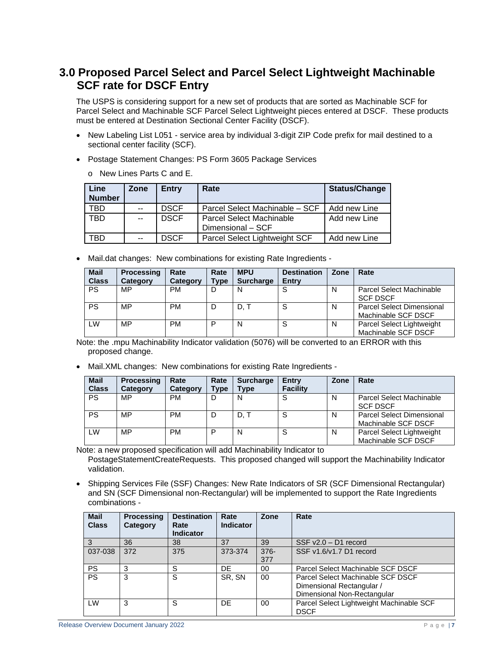## <span id="page-6-0"></span>**3.0 Proposed Parcel Select and Parcel Select Lightweight Machinable SCF rate for DSCF Entry**

The USPS is considering support for a new set of products that are sorted as Machinable SCF for Parcel Select and Machinable SCF Parcel Select Lightweight pieces entered at DSCF. These products must be entered at Destination Sectional Center Facility (DSCF).

- New Labeling List L051 service area by individual 3-digit ZIP Code prefix for mail destined to a sectional center facility (SCF).
- Postage Statement Changes: PS Form 3605 Package Services
	- o New Lines Parts C and E.

| <b>Line</b><br><b>Number</b> | Zone  | <b>Entry</b> | Rate                                                 | <b>Status/Change</b> |
|------------------------------|-------|--------------|------------------------------------------------------|----------------------|
| <b>TBD</b>                   | $- -$ | <b>DSCF</b>  | Parcel Select Machinable - SCF                       | Add new Line         |
| <b>TBD</b>                   | $- -$ | <b>DSCF</b>  | <b>Parcel Select Machinable</b><br>Dimensional - SCF | Add new Line         |
| TBD                          | $- -$ | <b>DSCF</b>  | Parcel Select Lightweight SCF                        | Add new Line         |

• Mail.dat changes: New combinations for existing Rate Ingredients -

| <b>Mail</b><br><b>Class</b> | <b>Processing</b><br>Category | Rate<br>Category | Rate<br><b>Type</b> | <b>MPU</b><br><b>Surcharge</b> | <b>Destination</b><br><b>Entry</b> | Zone | Rate                                                    |
|-----------------------------|-------------------------------|------------------|---------------------|--------------------------------|------------------------------------|------|---------------------------------------------------------|
| <b>PS</b>                   | MP                            | <b>PM</b>        | D                   | N                              | c<br>×.                            | N    | <b>Parcel Select Machinable</b><br><b>SCF DSCF</b>      |
| <b>PS</b>                   | MP                            | <b>PM</b>        | D                   | D.T                            | S                                  | N    | <b>Parcel Select Dimensional</b><br>Machinable SCF DSCF |
| LW                          | MP                            | <b>PM</b>        | D                   | N                              | S                                  | N    | Parcel Select Lightweight<br>Machinable SCF DSCF        |

Note: the .mpu Machinability Indicator validation (5076) will be converted to an ERROR with this proposed change.

• Mail.XML changes: New combinations for existing Rate Ingredients -

| <b>Mail</b><br><b>Class</b> | <b>Processing</b><br>Category | Rate<br>Category | Rate<br><b>Type</b> | <b>Surcharge</b><br><b>Type</b> | Entry<br><b>Facility</b> | Zone | Rate                                                    |
|-----------------------------|-------------------------------|------------------|---------------------|---------------------------------|--------------------------|------|---------------------------------------------------------|
| <b>PS</b>                   | MP                            | <b>PM</b>        | D                   | N                               |                          | N    | Parcel Select Machinable<br><b>SCF DSCF</b>             |
| PS                          | MP                            | <b>PM</b>        | D                   | D. T                            | O                        | N    | <b>Parcel Select Dimensional</b><br>Machinable SCF DSCF |
| LW                          | MP                            | <b>PM</b>        | P                   | N                               | c                        | N    | Parcel Select Lightweight<br>Machinable SCF DSCF        |

Note: a new proposed specification will add Machinability Indicator to PostageStatementCreateRequests. This proposed changed will support the Machinability Indicator validation.

• Shipping Services File (SSF) Changes: New Rate Indicators of SR (SCF Dimensional Rectangular) and SN (SCF Dimensional non-Rectangular) will be implemented to support the Rate Ingredients combinations -

| <b>Mail</b><br><b>Class</b> | <b>Processing</b><br>Category | <b>Destination</b><br>Rate<br><b>Indicator</b> | Rate<br><b>Indicator</b> | Zone           | Rate                                                                                          |
|-----------------------------|-------------------------------|------------------------------------------------|--------------------------|----------------|-----------------------------------------------------------------------------------------------|
| 3                           | 36                            | 38                                             | 37                       | 39             | SSF v2.0 - D1 record                                                                          |
| 037-038                     | 372                           | 375                                            | 373-374                  | $376 -$<br>377 | SSF v1.6/v1.7 D1 record                                                                       |
| <b>PS</b>                   | 3                             | S                                              | DF                       | 00             | Parcel Select Machinable SCF DSCF                                                             |
| <b>PS</b>                   | 3                             | S                                              | SR. SN                   | 00             | Parcel Select Machinable SCF DSCF<br>Dimensional Rectangular /<br>Dimensional Non-Rectangular |
| LW                          | 3                             | S                                              | DE                       | 00             | Parcel Select Lightweight Machinable SCF<br><b>DSCF</b>                                       |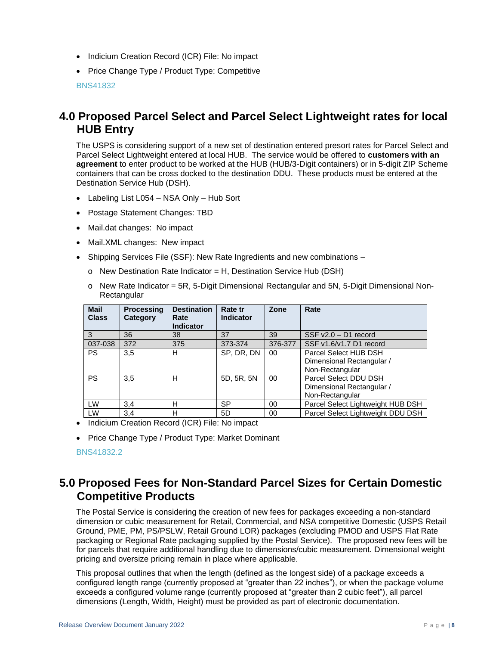- Indicium Creation Record (ICR) File: No impact
- Price Change Type / Product Type: Competitive

BNS41832

## <span id="page-7-0"></span>**4.0 Proposed Parcel Select and Parcel Select Lightweight rates for local HUB Entry**

The USPS is considering support of a new set of destination entered presort rates for Parcel Select and Parcel Select Lightweight entered at local HUB. The service would be offered to **customers with an agreement** to enter product to be worked at the HUB (HUB/3-Digit containers) or in 5-digit ZIP Scheme containers that can be cross docked to the destination DDU. These products must be entered at the Destination Service Hub (DSH).

- Labeling List L054 NSA Only Hub Sort
- Postage Statement Changes: TBD
- Mail.dat changes: No impact
- Mail.XML changes: New impact
- Shipping Services File (SSF): New Rate Ingredients and new combinations
	- o New Destination Rate Indicator = H, Destination Service Hub (DSH)
	- o New Rate Indicator = 5R, 5-Digit Dimensional Rectangular and 5N, 5-Digit Dimensional Non-**Rectangular**

| <b>Mail</b><br><b>Class</b> | <b>Processing</b><br>Category | <b>Destination</b><br>Rate<br><b>Indicator</b> | Rate tr<br>Indicator | Zone    | Rate                                                                  |
|-----------------------------|-------------------------------|------------------------------------------------|----------------------|---------|-----------------------------------------------------------------------|
| 3                           | 36                            | 38                                             | 37                   | 39      | $SSF v2.0 - D1 record$                                                |
| 037-038                     | 372                           | 375                                            | 373-374              | 376-377 | SSF v1.6/v1.7 D1 record                                               |
| <b>PS</b>                   | 3,5                           | н                                              | SP, DR, DN           | 00      | Parcel Select HUB DSH<br>Dimensional Rectangular /<br>Non-Rectangular |
| <b>PS</b>                   | 3.5                           | H                                              | 5D, 5R, 5N           | $00\,$  | Parcel Select DDU DSH<br>Dimensional Rectangular /<br>Non-Rectangular |
| LW                          | 3,4                           | н                                              | SP                   | 00      | Parcel Select Lightweight HUB DSH                                     |
| LW                          | 3,4                           | н                                              | 5D                   | 00      | Parcel Select Lightweight DDU DSH                                     |

- Indicium Creation Record (ICR) File: No impact
- Price Change Type / Product Type: Market Dominant

#### BNS41832.2

### <span id="page-7-1"></span>**5.0 Proposed Fees for Non-Standard Parcel Sizes for Certain Domestic Competitive Products**

The Postal Service is considering the creation of new fees for packages exceeding a non-standard dimension or cubic measurement for Retail, Commercial, and NSA competitive Domestic (USPS Retail Ground, PME, PM, PS/PSLW, Retail Ground LOR) packages (excluding PMOD and USPS Flat Rate packaging or Regional Rate packaging supplied by the Postal Service). The proposed new fees will be for parcels that require additional handling due to dimensions/cubic measurement. Dimensional weight pricing and oversize pricing remain in place where applicable.

This proposal outlines that when the length (defined as the longest side) of a package exceeds a configured length range (currently proposed at "greater than 22 inches"), or when the package volume exceeds a configured volume range (currently proposed at "greater than 2 cubic feet"), all parcel dimensions (Length, Width, Height) must be provided as part of electronic documentation.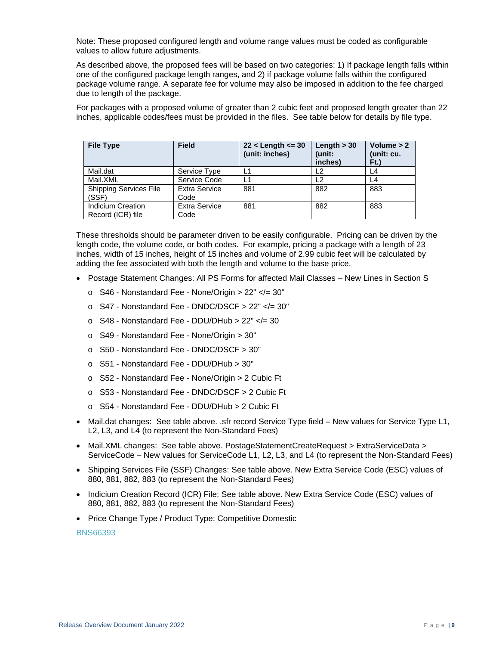Note: These proposed configured length and volume range values must be coded as configurable values to allow future adjustments.

As described above, the proposed fees will be based on two categories: 1) If package length falls within one of the configured package length ranges, and 2) if package volume falls within the configured package volume range. A separate fee for volume may also be imposed in addition to the fee charged due to length of the package.

For packages with a proposed volume of greater than 2 cubic feet and proposed length greater than 22 inches, applicable codes/fees must be provided in the files. See table below for details by file type.

| <b>File Type</b>                       | <b>Field</b>          | $22 <$ Length $\leq 30$<br>(unit: inches) | Length $>$ 30<br>(unit:<br>inches) | Volume $> 2$<br>(unit: cu.<br>Ft.) |
|----------------------------------------|-----------------------|-------------------------------------------|------------------------------------|------------------------------------|
| Mail.dat                               | Service Type          |                                           | L <sub>2</sub>                     | L4                                 |
| Mail.XML                               | Service Code          | L1                                        | . 2                                | L4                                 |
| <b>Shipping Services File</b><br>(SSF) | Extra Service<br>Code | 881                                       | 882                                | 883                                |
| Indicium Creation                      | Extra Service         | 881                                       | 882                                | 883                                |
| Record (ICR) file                      | Code                  |                                           |                                    |                                    |

These thresholds should be parameter driven to be easily configurable. Pricing can be driven by the length code, the volume code, or both codes. For example, pricing a package with a length of 23 inches, width of 15 inches, height of 15 inches and volume of 2.99 cubic feet will be calculated by adding the fee associated with both the length and volume to the base price.

- Postage Statement Changes: All PS Forms for affected Mail Classes New Lines in Section S
	- o S46 Nonstandard Fee None/Origin > 22" </= 30"
	- o S47 Nonstandard Fee DNDC/DSCF > 22" </= 30"
	- o S48 Nonstandard Fee DDU/DHub > 22" </= 30
	- o S49 Nonstandard Fee None/Origin > 30"
	- o S50 Nonstandard Fee DNDC/DSCF > 30"
	- o S51 Nonstandard Fee DDU/DHub > 30"
	- o S52 Nonstandard Fee None/Origin > 2 Cubic Ft
	- o S53 Nonstandard Fee DNDC/DSCF > 2 Cubic Ft
	- o S54 Nonstandard Fee DDU/DHub > 2 Cubic Ft
- Mail.dat changes: See table above. .sfr record Service Type field New values for Service Type L1, L2, L3, and L4 (to represent the Non-Standard Fees)
- Mail.XML changes: See table above. PostageStatementCreateRequest > ExtraServiceData > ServiceCode – New values for ServiceCode L1, L2, L3, and L4 (to represent the Non-Standard Fees)
- Shipping Services File (SSF) Changes: See table above. New Extra Service Code (ESC) values of 880, 881, 882, 883 (to represent the Non-Standard Fees)
- Indicium Creation Record (ICR) File: See table above. New Extra Service Code (ESC) values of 880, 881, 882, 883 (to represent the Non-Standard Fees)
- Price Change Type / Product Type: Competitive Domestic

BNS66393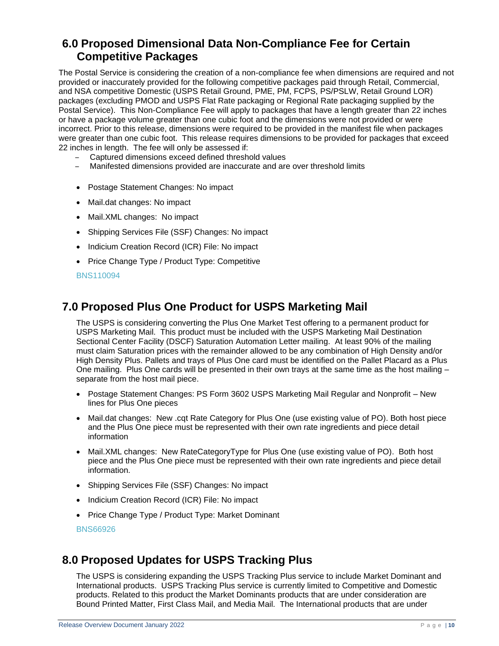## <span id="page-9-0"></span>**6.0 Proposed Dimensional Data Non-Compliance Fee for Certain Competitive Packages**

The Postal Service is considering the creation of a non-compliance fee when dimensions are required and not provided or inaccurately provided for the following competitive packages paid through Retail, Commercial, and NSA competitive Domestic (USPS Retail Ground, PME, PM, FCPS, PS/PSLW, Retail Ground LOR) packages (excluding PMOD and USPS Flat Rate packaging or Regional Rate packaging supplied by the Postal Service). This Non-Compliance Fee will apply to packages that have a length greater than 22 inches or have a package volume greater than one cubic foot and the dimensions were not provided or were incorrect. Prior to this release, dimensions were required to be provided in the manifest file when packages were greater than one cubic foot. This release requires dimensions to be provided for packages that exceed 22 inches in length. The fee will only be assessed if:

- ‒ Captured dimensions exceed defined threshold values
- ‒ Manifested dimensions provided are inaccurate and are over threshold limits
- Postage Statement Changes: No impact
- Mail.dat changes: No impact
- Mail.XML changes: No impact
- Shipping Services File (SSF) Changes: No impact
- Indicium Creation Record (ICR) File: No impact
- Price Change Type / Product Type: Competitive

#### BNS110094

## <span id="page-9-1"></span>**7.0 Proposed Plus One Product for USPS Marketing Mail**

The USPS is considering converting the Plus One Market Test offering to a permanent product for USPS Marketing Mail. This product must be included with the USPS Marketing Mail Destination Sectional Center Facility (DSCF) Saturation Automation Letter mailing. At least 90% of the mailing must claim Saturation prices with the remainder allowed to be any combination of High Density and/or High Density Plus. Pallets and trays of Plus One card must be identified on the Pallet Placard as a Plus One mailing. Plus One cards will be presented in their own trays at the same time as the host mailing – separate from the host mail piece.

- Postage Statement Changes: PS Form 3602 USPS Marketing Mail Regular and Nonprofit New lines for Plus One pieces
- Mail.dat changes: New .cqt Rate Category for Plus One (use existing value of PO). Both host piece and the Plus One piece must be represented with their own rate ingredients and piece detail information
- Mail. XML changes: New RateCategory Type for Plus One (use existing value of PO). Both host piece and the Plus One piece must be represented with their own rate ingredients and piece detail information.
- Shipping Services File (SSF) Changes: No impact
- Indicium Creation Record (ICR) File: No impact
- Price Change Type / Product Type: Market Dominant

BNS66926

## <span id="page-9-2"></span>**8.0 Proposed Updates for USPS Tracking Plus**

The USPS is considering expanding the USPS Tracking Plus service to include Market Dominant and International products. USPS Tracking Plus service is currently limited to Competitive and Domestic products. Related to this product the Market Dominants products that are under consideration are Bound Printed Matter, First Class Mail, and Media Mail. The International products that are under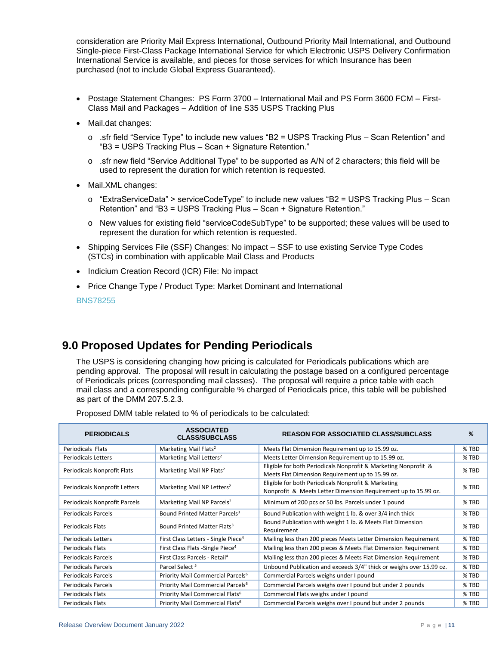consideration are Priority Mail Express International, Outbound Priority Mail International, and Outbound Single-piece First-Class Package International Service for which Electronic USPS Delivery Confirmation International Service is available, and pieces for those services for which Insurance has been purchased (not to include Global Express Guaranteed).

- Postage Statement Changes: PS Form 3700 International Mail and PS Form 3600 FCM First-Class Mail and Packages – Addition of line S35 USPS Tracking Plus
- Mail.dat changes:
	- o .sfr field "Service Type" to include new values "B2 = USPS Tracking Plus Scan Retention" and "B3 = USPS Tracking Plus – Scan + Signature Retention."
	- o .sfr new field "Service Additional Type" to be supported as A/N of 2 characters; this field will be used to represent the duration for which retention is requested.
- Mail.XML changes:
	- o "ExtraServiceData" > serviceCodeType" to include new values "B2 = USPS Tracking Plus Scan Retention" and "B3 = USPS Tracking Plus – Scan + Signature Retention."
	- o New values for existing field "serviceCodeSubType" to be supported; these values will be used to represent the duration for which retention is requested.
- Shipping Services File (SSF) Changes: No impact SSF to use existing Service Type Codes (STCs) in combination with applicable Mail Class and Products
- Indicium Creation Record (ICR) File: No impact
- Price Change Type / Product Type: Market Dominant and International

BNS78255

## <span id="page-10-0"></span>**9.0 Proposed Updates for Pending Periodicals**

The USPS is considering changing how pricing is calculated for Periodicals publications which are pending approval. The proposal will result in calculating the postage based on a configured percentage of Periodicals prices (corresponding mail classes). The proposal will require a price table with each mail class and a corresponding configurable % charged of Periodicals price, this table will be published as part of the DMM 207.5.2.3.

Proposed DMM table related to % of periodicals to be calculated:

| <b>PERIODICALS</b>            | <b>ASSOCIATED</b><br><b>CLASS/SUBCLASS</b>      | <b>REASON FOR ASSOCIATED CLASS/SUBCLASS</b>                                                                           | %       |
|-------------------------------|-------------------------------------------------|-----------------------------------------------------------------------------------------------------------------------|---------|
| Periodicals Flats             | Marketing Mail Flats <sup>2</sup>               | Meets Flat Dimension Requirement up to 15.99 oz.                                                                      | % TBD   |
| <b>Periodicals Letters</b>    | Marketing Mail Letters <sup>2</sup>             | Meets Letter Dimension Requirement up to 15.99 oz.                                                                    | $%$ TBD |
| Periodicals Nonprofit Flats   | Marketing Mail NP Flats <sup>2</sup>            | Eligible for both Periodicals Nonprofit & Marketing Nonprofit &<br>Meets Flat Dimension Requirement up to 15.99 oz.   | % TBD   |
| Periodicals Nonprofit Letters | Marketing Mail NP Letters <sup>2</sup>          | Eligible for both Periodicals Nonprofit & Marketing<br>Nonprofit & Meets Letter Dimension Requirement up to 15.99 oz. | % TBD   |
| Periodicals Nonprofit Parcels | Marketing Mail NP Parcels <sup>2</sup>          | Minimum of 200 pcs or 50 lbs. Parcels under 1 pound                                                                   | % TBD   |
| <b>Periodicals Parcels</b>    | Bound Printed Matter Parcels <sup>3</sup>       | Bound Publication with weight 1 lb. & over 3/4 inch thick                                                             | % TBD   |
| <b>Periodicals Flats</b>      | Bound Printed Matter Flats <sup>3</sup>         | Bound Publication with weight 1 lb. & Meets Flat Dimension<br>Requirement                                             | % TBD   |
| <b>Periodicals Letters</b>    | First Class Letters - Single Piece <sup>4</sup> | Mailing less than 200 pieces Meets Letter Dimension Requirement                                                       | % TBD   |
| <b>Periodicals Flats</b>      | First Class Flats - Single Piece <sup>4</sup>   | Mailing less than 200 pieces & Meets Flat Dimension Requirement                                                       | % TBD   |
| <b>Periodicals Parcels</b>    | First Class Parcels - Retail <sup>4</sup>       | Mailing less than 200 pieces & Meets Flat Dimension Requirement                                                       | % TBD   |
| <b>Periodicals Parcels</b>    | Parcel Select <sup>5</sup>                      | Unbound Publication and exceeds 3/4" thick or weighs over 15.99 oz.                                                   | % TBD   |
| <b>Periodicals Parcels</b>    | Priority Mail Commercial Parcels <sup>6</sup>   | Commercial Parcels weighs under I pound                                                                               | $%$ TBD |
| <b>Periodicals Parcels</b>    | Priority Mail Commercial Parcels <sup>6</sup>   | Commercial Parcels weighs over I pound but under 2 pounds                                                             | % TBD   |
| <b>Periodicals Flats</b>      | Priority Mail Commercial Flats <sup>6</sup>     | Commercial Flats weighs under I pound                                                                                 | % TBD   |
| <b>Periodicals Flats</b>      | Priority Mail Commercial Flats <sup>6</sup>     | Commercial Parcels weighs over I pound but under 2 pounds                                                             | % TBD   |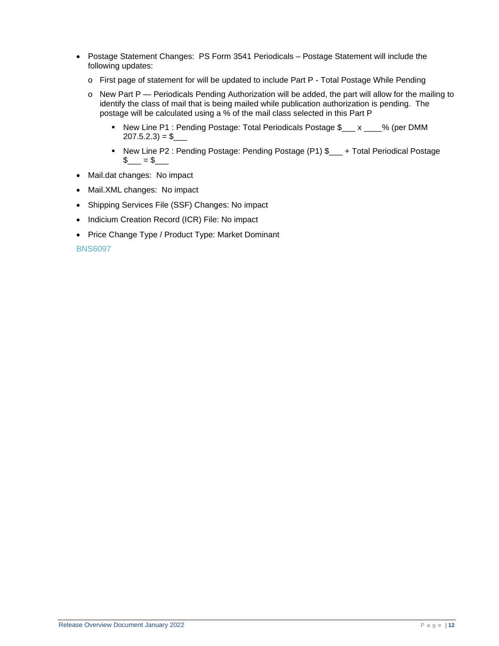- Postage Statement Changes: PS Form 3541 Periodicals Postage Statement will include the following updates:
	- o First page of statement for will be updated to include Part P Total Postage While Pending
	- o New Part P Periodicals Pending Authorization will be added, the part will allow for the mailing to identify the class of mail that is being mailed while publication authorization is pending. The postage will be calculated using a % of the mail class selected in this Part P
		- New Line P1 : Pending Postage: Total Periodicals Postage \$\_\_\_ x \_\_\_% (per DMM  $207.5.2.3 = $$
		- New Line P2 : Pending Postage: Pending Postage (P1) \$<br>■ Northerland Postage \$\_\_\_ = \$\_\_\_
- Mail.dat changes: No impact
- Mail.XML changes: No impact
- Shipping Services File (SSF) Changes: No impact
- Indicium Creation Record (ICR) File: No impact
- Price Change Type / Product Type: Market Dominant

BNS6097